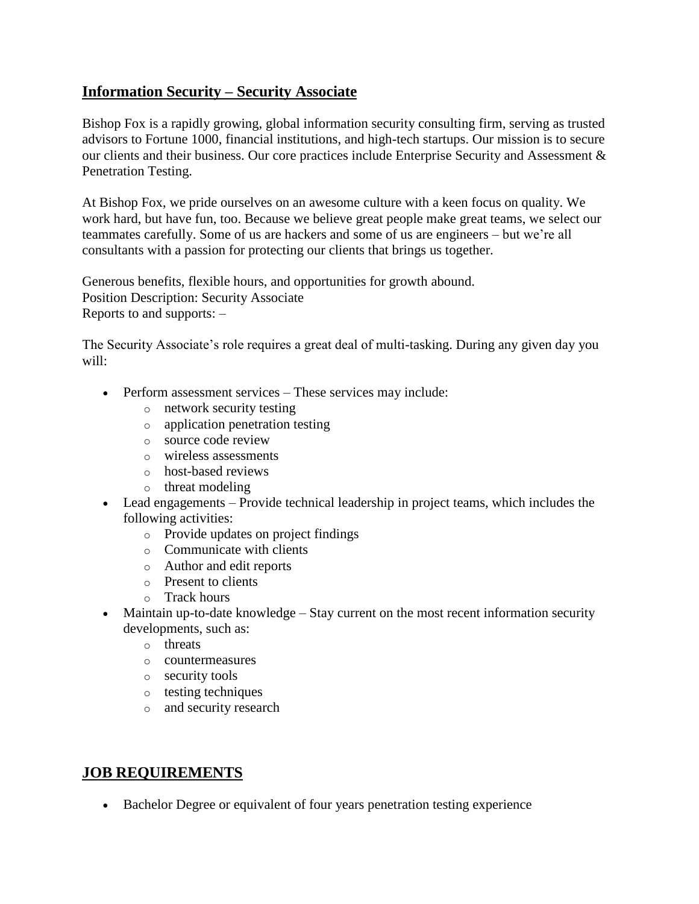## **Information Security – Security Associate**

Bishop Fox is a rapidly growing, global information security consulting firm, serving as trusted advisors to Fortune 1000, financial institutions, and high-tech startups. Our mission is to secure our clients and their business. Our core practices include Enterprise Security and Assessment & Penetration Testing.

At Bishop Fox, we pride ourselves on an awesome culture with a keen focus on quality. We work hard, but have fun, too. Because we believe great people make great teams, we select our teammates carefully. Some of us are hackers and some of us are engineers – but we're all consultants with a passion for protecting our clients that brings us together.

Generous benefits, flexible hours, and opportunities for growth abound. Position Description: Security Associate Reports to and supports: –

The Security Associate's role requires a great deal of multi-tasking. During any given day you will:

- Perform assessment services These services may include:
	- o network security testing
	- o application penetration testing
	- o source code review
	- o wireless assessments
	- o host-based reviews
	- o threat modeling
- Lead engagements Provide technical leadership in project teams, which includes the following activities:
	- o Provide updates on project findings
	- o Communicate with clients
	- o Author and edit reports
	- o Present to clients
	- o Track hours
- Maintain up-to-date knowledge Stay current on the most recent information security developments, such as:
	- o threats
	- o countermeasures
	- o security tools
	- o testing techniques
	- o and security research

## **JOB REQUIREMENTS**

Bachelor Degree or equivalent of four years penetration testing experience